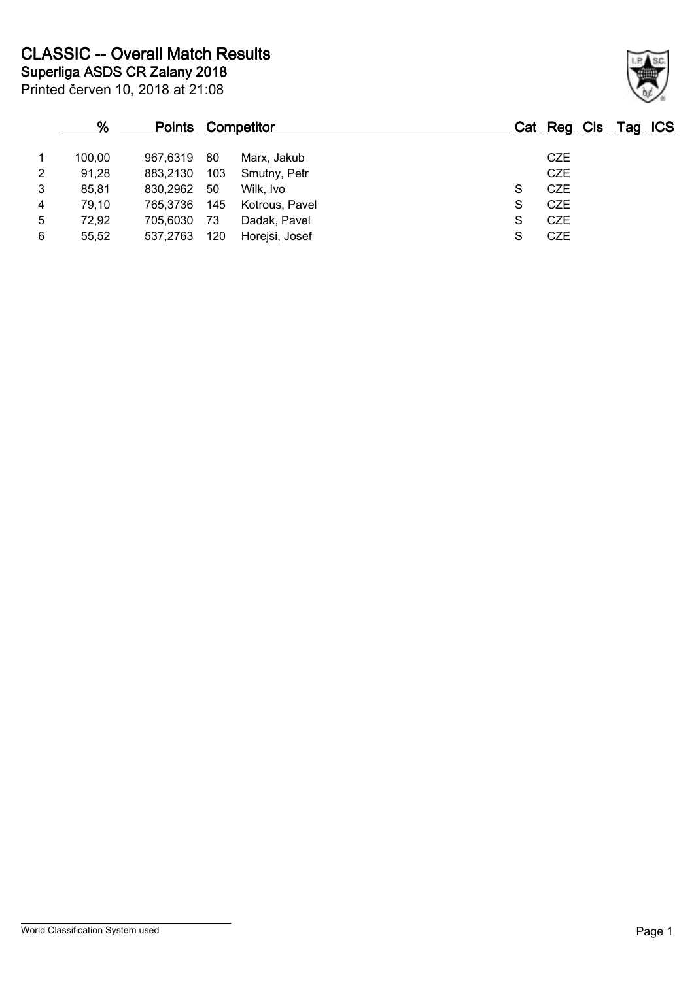|   | %      | <b>Points Competitor</b> |     |                |   | Cat Reg Cls Tag ICS |  |
|---|--------|--------------------------|-----|----------------|---|---------------------|--|
|   | 100,00 | 967.6319                 | -80 | Marx, Jakub    |   | <b>CZE</b>          |  |
| 2 | 91,28  | 883.2130                 | 103 | Smutny, Petr   |   | <b>CZE</b>          |  |
| 3 | 85,81  | 830,2962                 | 50  | Wilk, Ivo      | S | <b>CZE</b>          |  |
| 4 | 79,10  | 765.3736                 | 145 | Kotrous, Pavel | S | CZE                 |  |
| 5 | 72,92  | 705,6030                 | 73  | Dadak, Pavel   | S | <b>CZE</b>          |  |
| 6 | 55,52  | 537,2763                 | 120 | Horejsi, Josef | S | <b>CZE</b>          |  |

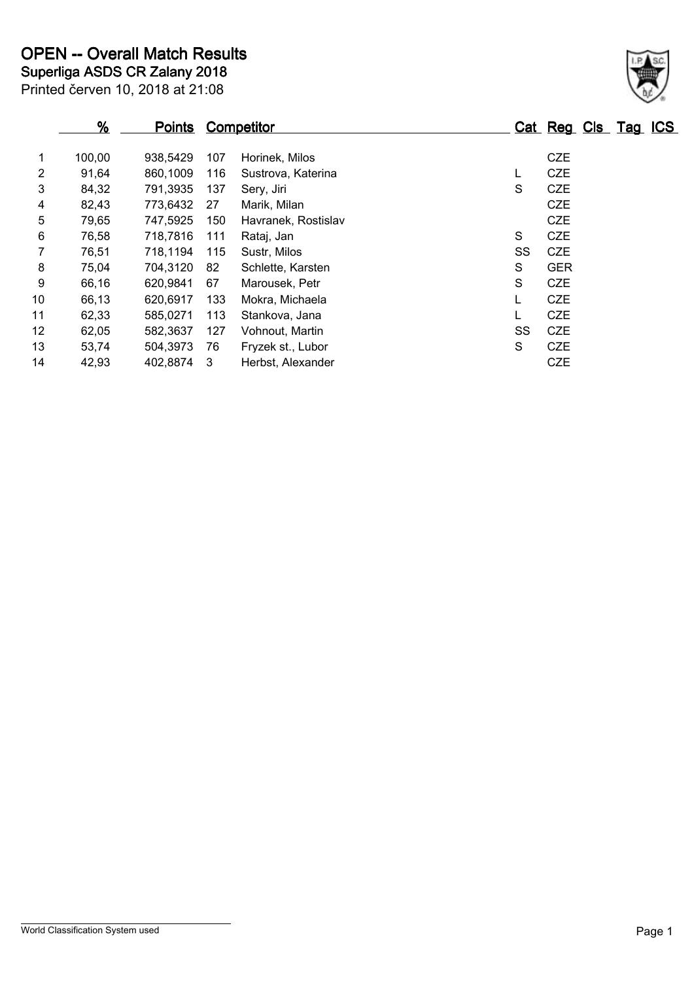| $\frac{9}{6}$ | <u>Points</u> |     |                     |                   |            |  |                     |
|---------------|---------------|-----|---------------------|-------------------|------------|--|---------------------|
| 100,00        | 938,5429      | 107 | Horinek, Milos      |                   | <b>CZE</b> |  |                     |
| 91,64         | 860,1009      | 116 | Sustrova, Katerina  | L                 | <b>CZE</b> |  |                     |
| 84,32         | 791,3935      | 137 | Sery, Jiri          | S                 | <b>CZE</b> |  |                     |
| 82,43         | 773,6432      | 27  | Marik, Milan        |                   | <b>CZE</b> |  |                     |
| 79,65         | 747,5925      | 150 | Havranek, Rostislav |                   | <b>CZE</b> |  |                     |
| 76,58         | 718,7816      | 111 | Rataj, Jan          | S                 | <b>CZE</b> |  |                     |
| 76,51         | 718,1194      | 115 | Sustr, Milos        | SS                | <b>CZE</b> |  |                     |
| 75,04         | 704.3120      | 82  | Schlette, Karsten   | S                 | <b>GER</b> |  |                     |
| 66,16         | 620,9841      | 67  | Marousek, Petr      | S                 | <b>CZE</b> |  |                     |
| 66,13         | 620,6917      | 133 | Mokra, Michaela     | L                 | <b>CZE</b> |  |                     |
| 62,33         | 585,0271      | 113 | Stankova, Jana      | L                 | <b>CZE</b> |  |                     |
| 62,05         | 582,3637      | 127 | Vohnout, Martin     | SS                | <b>CZE</b> |  |                     |
| 53,74         | 504,3973      | 76  | Fryzek st., Lubor   | S                 | <b>CZE</b> |  |                     |
| 42,93         | 402,8874      | -3  | Herbst, Alexander   |                   | <b>CZE</b> |  |                     |
|               |               |     |                     | <b>Competitor</b> |            |  | Cat Reg Cls Tag ICS |

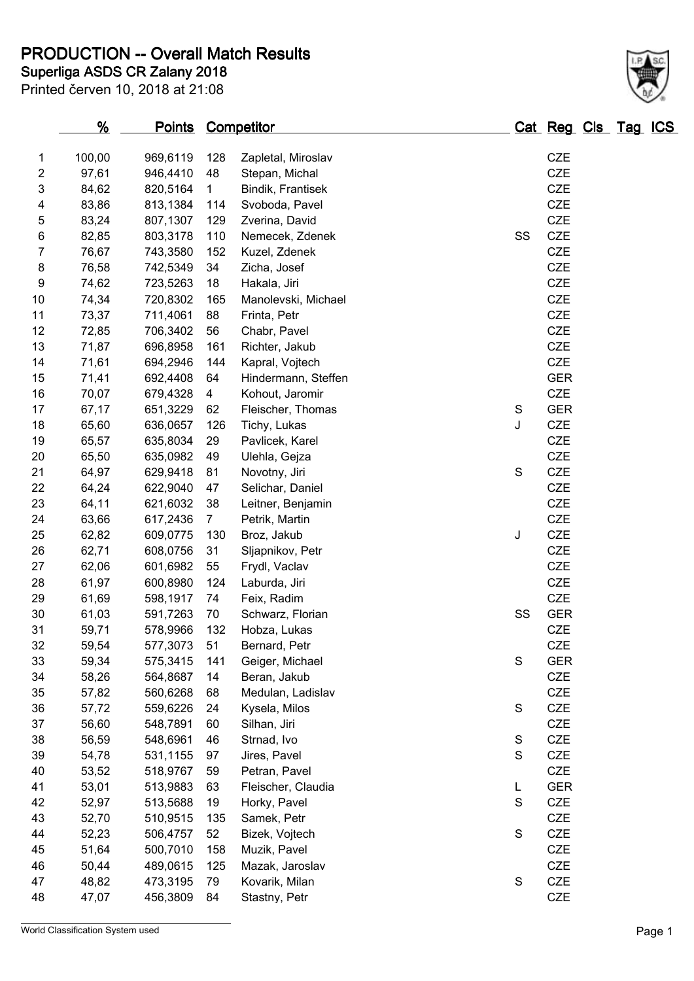**PRODUCTION -- Overall Match Results**

Printed červen 10, 2018 at 21:08

# **Superliga ASDS CR Zalany 2018**

|                | <u>%</u> | <b>Points Competitor</b> |                |                     |               | Cat Reg Cls Tag ICS |  |  |
|----------------|----------|--------------------------|----------------|---------------------|---------------|---------------------|--|--|
| 1              | 100,00   | 969,6119                 | 128            | Zapletal, Miroslav  |               | CZE                 |  |  |
| $\overline{2}$ | 97,61    | 946,4410                 | 48             | Stepan, Michal      |               | <b>CZE</b>          |  |  |
| 3              | 84,62    | 820,5164                 | $\mathbf{1}$   | Bindik, Frantisek   |               | CZE                 |  |  |
|                | 83,86    |                          | 114            | Svoboda, Pavel      |               | CZE                 |  |  |
| 4              |          | 813,1384                 |                |                     |               |                     |  |  |
| 5              | 83,24    | 807,1307                 | 129            | Zverina, David      |               | CZE                 |  |  |
| $\,6$          | 82,85    | 803,3178                 | 110            | Nemecek, Zdenek     | SS            | CZE                 |  |  |
| $\overline{7}$ | 76,67    | 743,3580                 | 152            | Kuzel, Zdenek       |               | CZE                 |  |  |
| 8              | 76,58    | 742,5349                 | 34             | Zicha, Josef        |               | CZE                 |  |  |
| 9              | 74,62    | 723,5263                 | 18             | Hakala, Jiri        |               | CZE                 |  |  |
| 10             | 74,34    | 720,8302                 | 165            | Manolevski, Michael |               | CZE                 |  |  |
| 11             | 73,37    | 711,4061                 | 88             | Frinta, Petr        |               | CZE                 |  |  |
| 12             | 72,85    | 706,3402                 | 56             | Chabr, Pavel        |               | CZE                 |  |  |
| 13             | 71,87    | 696,8958                 | 161            | Richter, Jakub      |               | CZE                 |  |  |
| 14             | 71,61    | 694,2946                 | 144            | Kapral, Vojtech     |               | CZE                 |  |  |
| 15             | 71,41    | 692,4408                 | 64             | Hindermann, Steffen |               | <b>GER</b>          |  |  |
| 16             | 70,07    | 679,4328                 | $\overline{4}$ | Kohout, Jaromir     |               | CZE                 |  |  |
| 17             | 67,17    | 651,3229                 | 62             | Fleischer, Thomas   | ${\mathsf S}$ | <b>GER</b>          |  |  |
| 18             | 65,60    | 636,0657                 | 126            | Tichy, Lukas        | J             | CZE                 |  |  |
| 19             | 65,57    | 635,8034                 | 29             | Pavlicek, Karel     |               | CZE                 |  |  |
| 20             | 65,50    | 635,0982                 | 49             | Ulehla, Gejza       |               | CZE                 |  |  |
| 21             | 64,97    | 629,9418                 | 81             | Novotny, Jiri       | ${\mathsf S}$ | <b>CZE</b>          |  |  |
| 22             | 64,24    | 622,9040                 | 47             | Selichar, Daniel    |               | CZE                 |  |  |
| 23             | 64,11    | 621,6032                 | 38             | Leitner, Benjamin   |               | CZE                 |  |  |
| 24             | 63,66    | 617,2436                 | $\overline{7}$ | Petrik, Martin      |               | CZE                 |  |  |
| 25             | 62,82    | 609,0775                 | 130            | Broz, Jakub         | J             | CZE                 |  |  |
| 26             | 62,71    | 608,0756                 | 31             | Sljapnikov, Petr    |               | CZE                 |  |  |
| 27             | 62,06    | 601,6982                 | 55             | Frydl, Vaclav       |               | CZE                 |  |  |
| 28             | 61,97    | 600,8980                 | 124            | Laburda, Jiri       |               | CZE                 |  |  |
| 29             | 61,69    | 598,1917                 | 74             | Feix, Radim         |               | CZE                 |  |  |
| 30             | 61,03    | 591,7263                 | 70             | Schwarz, Florian    | SS            | <b>GER</b>          |  |  |
| 31             | 59,71    | 578,9966                 | 132            | Hobza, Lukas        |               | CZE                 |  |  |
| 32             | 59,54    | 577,3073                 | 51             | Bernard, Petr       |               | <b>CZE</b>          |  |  |
| 33             | 59,34    | 575,3415                 | 141            | Geiger, Michael     | S             | <b>GER</b>          |  |  |
| 34             | 58,26    | 564,8687                 | 14             | Beran, Jakub        |               | CZE                 |  |  |
| 35             | 57,82    | 560,6268                 | 68             | Medulan, Ladislav   |               | CZE                 |  |  |
| 36             | 57,72    | 559,6226                 | 24             | Kysela, Milos       | ${\mathsf S}$ | CZE                 |  |  |
| 37             | 56,60    | 548,7891                 | 60             | Silhan, Jiri        |               | CZE                 |  |  |
| 38             | 56,59    | 548,6961                 | 46             | Strnad, Ivo         | ${\mathsf S}$ | CZE                 |  |  |
| 39             | 54,78    | 531,1155                 | 97             | Jires, Pavel        | S             | CZE                 |  |  |
| 40             | 53,52    | 518,9767                 | 59             | Petran, Pavel       |               | <b>CZE</b>          |  |  |
| 41             | 53,01    | 513,9883                 | 63             | Fleischer, Claudia  | L             | <b>GER</b>          |  |  |
| 42             | 52,97    | 513,5688                 | 19             | Horky, Pavel        | $\mathsf S$   | CZE                 |  |  |
| 43             | 52,70    | 510,9515                 | 135            | Samek, Petr         |               | CZE                 |  |  |
| 44             | 52,23    | 506,4757                 | 52             | Bizek, Vojtech      | $\mathsf S$   | CZE                 |  |  |
| 45             | 51,64    | 500,7010                 | 158            | Muzik, Pavel        |               | CZE                 |  |  |
| 46             | 50,44    | 489,0615                 | 125            | Mazak, Jaroslav     |               | CZE                 |  |  |
| 47             | 48,82    | 473,3195                 | 79             | Kovarik, Milan      | ${\mathsf S}$ | CZE                 |  |  |
|                |          |                          |                |                     |               |                     |  |  |
| 48             | 47,07    | 456,3809                 | 84             | Stastny, Petr       |               | CZE                 |  |  |

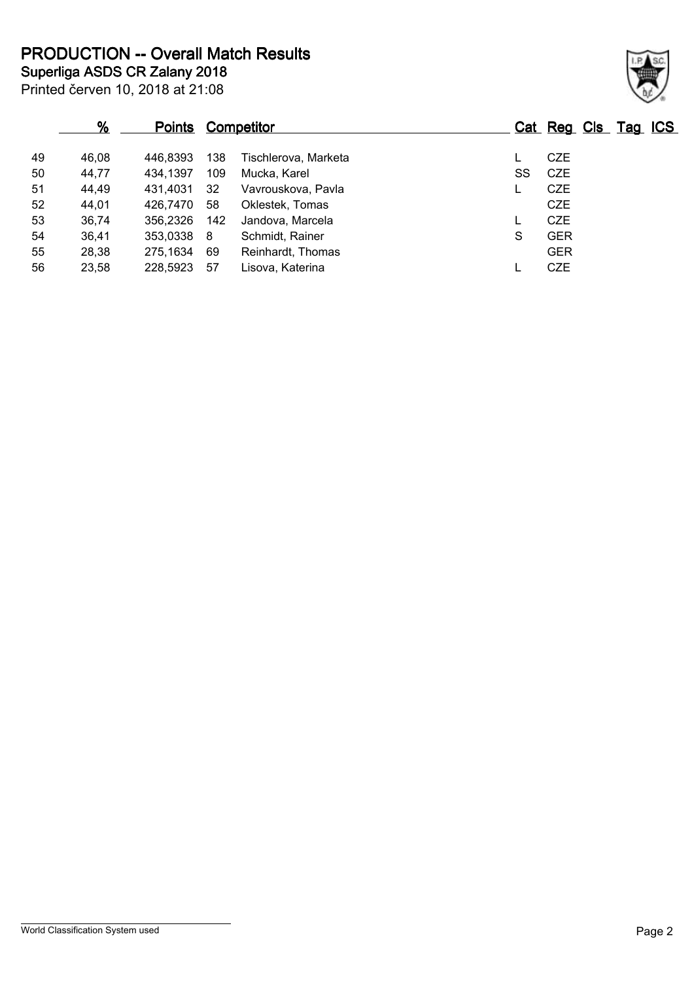**Superliga ASDS CR Zalany 2018 PRODUCTION -- Overall Match Results**

|    | %     | <b>Points</b> |     | <b>Competitor</b>    |    | Cat Reg Cls Tag ICS |  |
|----|-------|---------------|-----|----------------------|----|---------------------|--|
| 49 | 46,08 | 446.8393      | 138 | Tischlerova, Marketa |    | <b>CZE</b>          |  |
| 50 | 44,77 | 434,1397      | 109 | Mucka, Karel         | SS | CZE                 |  |
| 51 | 44,49 | 431.4031      | -32 | Vavrouskova, Pavla   |    | <b>CZE</b>          |  |
| 52 | 44,01 | 426.7470      | 58  | Oklestek, Tomas      |    | <b>CZE</b>          |  |
| 53 | 36,74 | 356,2326      | 142 | Jandova, Marcela     |    | <b>CZE</b>          |  |
| 54 | 36,41 | 353,0338      | - 8 | Schmidt, Rainer      | S  | <b>GER</b>          |  |
| 55 | 28,38 | 275,1634      | 69  | Reinhardt, Thomas    |    | <b>GER</b>          |  |
| 56 | 23,58 | 228,5923      | 57  | Lisova, Katerina     |    | <b>CZE</b>          |  |

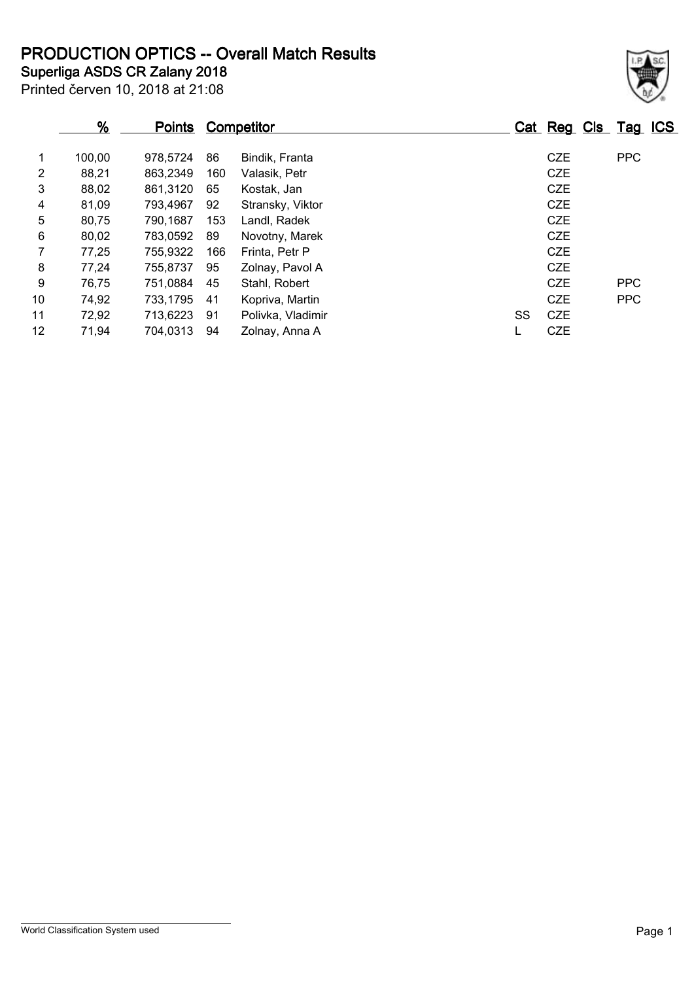**PRODUCTION OPTICS -- Overall Match Results**

## Printed červen 10, 2018 at 21:08 **Superliga ASDS CR Zalany 2018**

|                | <u>%</u> | <b>Points</b> |     | <b>Competitor</b> |    |            | Cat Reg Cls Tag ICS |  |
|----------------|----------|---------------|-----|-------------------|----|------------|---------------------|--|
| 1              | 100,00   | 978,5724      | 86  | Bindik, Franta    |    | <b>CZE</b> | <b>PPC</b>          |  |
| $\overline{2}$ | 88,21    | 863,2349      | 160 | Valasik, Petr     |    | <b>CZE</b> |                     |  |
| 3              | 88,02    | 861,3120      | 65  | Kostak, Jan       |    | <b>CZE</b> |                     |  |
| 4              | 81,09    | 793,4967      | 92  | Stransky, Viktor  |    | <b>CZE</b> |                     |  |
| 5              | 80,75    | 790,1687      | 153 | Landl, Radek      |    | <b>CZE</b> |                     |  |
| 6              | 80,02    | 783,0592      | 89  | Novotny, Marek    |    | <b>CZE</b> |                     |  |
| $\overline{7}$ | 77,25    | 755,9322      | 166 | Frinta, Petr P    |    | <b>CZE</b> |                     |  |
| 8              | 77,24    | 755.8737      | 95  | Zolnay, Pavol A   |    | <b>CZE</b> |                     |  |
| 9              | 76,75    | 751,0884      | 45  | Stahl, Robert     |    | <b>CZE</b> | <b>PPC</b>          |  |
| 10             | 74,92    | 733,1795      | 41  | Kopriva, Martin   |    | <b>CZE</b> | <b>PPC</b>          |  |
| 11             | 72,92    | 713,6223      | 91  | Polivka, Vladimir | SS | <b>CZE</b> |                     |  |
| 12             | 71,94    | 704,0313      | 94  | Zolnay, Anna A    |    | <b>CZE</b> |                     |  |
|                |          |               |     |                   |    |            |                     |  |

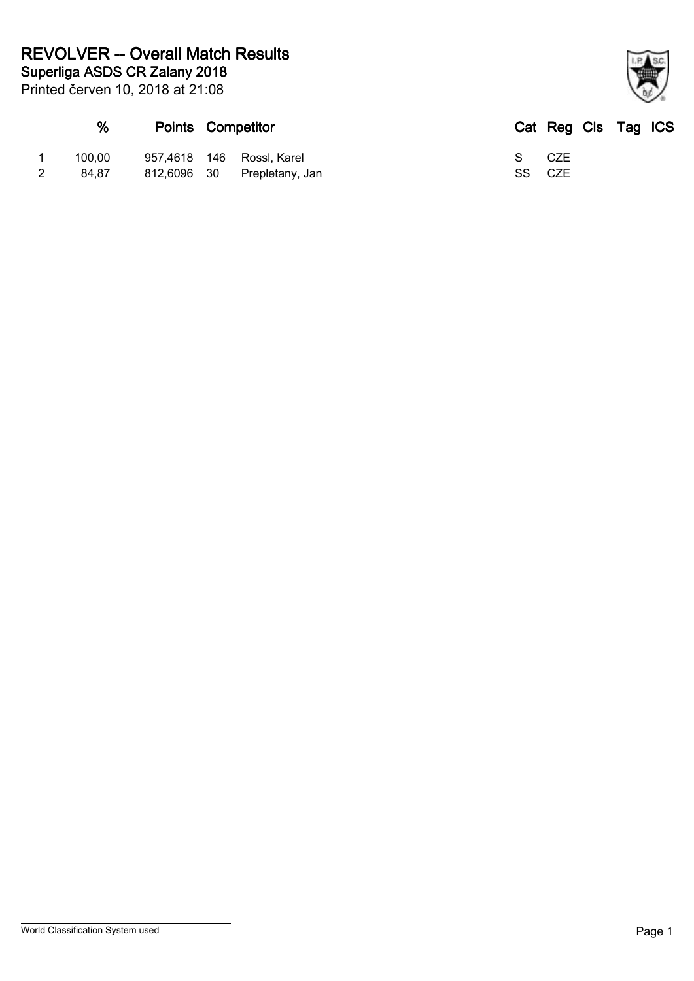| %      |             | <b>Points Competitor</b> | Cat Reg Cls Tag ICS |  |
|--------|-------------|--------------------------|---------------------|--|
| 100.00 | 957.4618    | 146 Rossl, Karel         | CZE<br>S.           |  |
| 84.87  | 812,6096 30 | Prepletany, Jan          | SS CZE              |  |

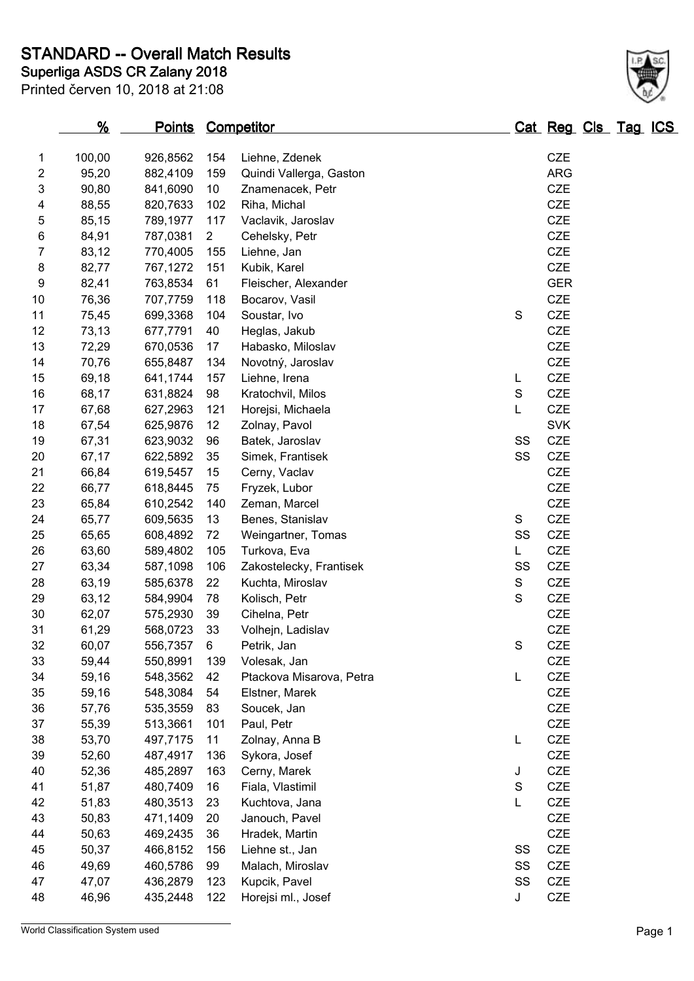**STANDARD -- Overall Match Results**

Printed červen 10, 2018 at 21:08

### **Superliga ASDS CR Zalany 2018**

|                         | <u>%</u>       | <b>Points Competitor</b> |                |                          |               | <u>Cat Reg Cls Tag ICS</u> |  |  |
|-------------------------|----------------|--------------------------|----------------|--------------------------|---------------|----------------------------|--|--|
| 1                       | 100,00         | 926,8562                 | 154            | Liehne, Zdenek           |               | <b>CZE</b>                 |  |  |
| $\overline{\mathbf{c}}$ | 95,20          | 882,4109                 | 159            | Quindi Vallerga, Gaston  |               | <b>ARG</b>                 |  |  |
| 3                       | 90,80          | 841,6090                 | 10             | Znamenacek, Petr         |               | CZE                        |  |  |
| 4                       | 88,55          | 820,7633                 | 102            | Riha, Michal             |               | CZE                        |  |  |
| 5                       | 85,15          | 789,1977                 | 117            | Vaclavik, Jaroslav       |               | CZE                        |  |  |
| $\,6$                   | 84,91          | 787,0381                 | $\overline{2}$ | Cehelsky, Petr           |               | CZE                        |  |  |
| 7                       | 83,12          | 770,4005                 | 155            | Liehne, Jan              |               | CZE                        |  |  |
| 8                       | 82,77          | 767,1272                 | 151            | Kubik, Karel             |               | CZE                        |  |  |
| $\boldsymbol{9}$        | 82,41          | 763,8534                 | 61             | Fleischer, Alexander     |               | <b>GER</b>                 |  |  |
| 10                      | 76,36          | 707,7759                 | 118            |                          |               | CZE                        |  |  |
| 11                      |                |                          | 104            | Bocarov, Vasil           | S             | CZE                        |  |  |
| 12                      | 75,45<br>73,13 | 699,3368                 | 40             | Soustar, Ivo             |               | CZE                        |  |  |
|                         |                | 677,7791                 |                | Heglas, Jakub            |               | CZE                        |  |  |
| 13                      | 72,29          | 670,0536                 | 17             | Habasko, Miloslav        |               |                            |  |  |
| 14                      | 70,76          | 655,8487                 | 134            | Novotný, Jaroslav        |               | CZE                        |  |  |
| 15                      | 69,18          | 641,1744                 | 157            | Liehne, Irena            | L             | <b>CZE</b>                 |  |  |
| 16                      | 68,17          | 631,8824                 | 98             | Kratochvil, Milos        | $\mathbf S$   | CZE                        |  |  |
| 17                      | 67,68          | 627,2963                 | 121            | Horejsi, Michaela        | L             | CZE                        |  |  |
| 18                      | 67,54          | 625,9876                 | 12             | Zolnay, Pavol            |               | <b>SVK</b>                 |  |  |
| 19                      | 67,31          | 623,9032                 | 96             | Batek, Jaroslav          | SS            | <b>CZE</b>                 |  |  |
| 20                      | 67,17          | 622,5892                 | 35             | Simek, Frantisek         | SS            | CZE                        |  |  |
| 21                      | 66,84          | 619,5457                 | 15             | Cerny, Vaclav            |               | CZE                        |  |  |
| 22                      | 66,77          | 618,8445                 | 75             | Fryzek, Lubor            |               | CZE                        |  |  |
| 23                      | 65,84          | 610,2542                 | 140            | Zeman, Marcel            |               | CZE                        |  |  |
| 24                      | 65,77          | 609,5635                 | 13             | Benes, Stanislav         | S             | CZE                        |  |  |
| 25                      | 65,65          | 608,4892                 | 72             | Weingartner, Tomas       | SS            | CZE                        |  |  |
| 26                      | 63,60          | 589,4802                 | 105            | Turkova, Eva             | L.            | <b>CZE</b>                 |  |  |
| 27                      | 63,34          | 587,1098                 | 106            | Zakostelecky, Frantisek  | SS            | CZE                        |  |  |
| 28                      | 63,19          | 585,6378                 | 22             | Kuchta, Miroslav         | $\mathsf S$   | <b>CZE</b>                 |  |  |
| 29                      | 63,12          | 584,9904                 | 78             | Kolisch, Petr            | $\mathsf S$   | CZE                        |  |  |
| 30                      | 62,07          | 575,2930                 | 39             | Cihelna, Petr            |               | CZE                        |  |  |
| 31                      | 61,29          | 568,0723                 | 33             | Volhejn, Ladislav        |               | <b>CZE</b>                 |  |  |
| 32                      | 60,07          | 556,7357                 | 6              | Petrik, Jan              | S             | <b>CZE</b>                 |  |  |
| 33                      | 59,44          | 550,8991                 | 139            | Volesak, Jan             |               | <b>CZE</b>                 |  |  |
| 34                      | 59,16          | 548,3562                 | 42             | Ptackova Misarova, Petra | L             | CZE                        |  |  |
| 35                      | 59,16          | 548,3084                 | 54             | Elstner, Marek           |               | CZE                        |  |  |
| 36                      | 57,76          | 535,3559                 | 83             | Soucek, Jan              |               | CZE                        |  |  |
| 37                      | 55,39          | 513,3661                 | 101            | Paul, Petr               |               | CZE                        |  |  |
| 38                      | 53,70          | 497,7175                 | 11             | Zolnay, Anna B           | L             | CZE                        |  |  |
| 39                      | 52,60          | 487,4917                 | 136            | Sykora, Josef            |               | CZE                        |  |  |
| 40                      | 52,36          | 485,2897                 | 163            | Cerny, Marek             | J             | CZE                        |  |  |
| 41                      | 51,87          | 480,7409                 | 16             | Fiala, Vlastimil         | ${\mathsf S}$ | CZE                        |  |  |
| 42                      | 51,83          | 480,3513                 | 23             | Kuchtova, Jana           | L             | CZE                        |  |  |
| 43                      | 50,83          | 471,1409                 | 20             | Janouch, Pavel           |               | CZE                        |  |  |
| 44                      | 50,63          | 469,2435                 | 36             | Hradek, Martin           |               | CZE                        |  |  |
| 45                      | 50,37          | 466,8152                 | 156            | Liehne st., Jan          | SS            | CZE                        |  |  |
| 46                      | 49,69          | 460,5786                 | 99             | Malach, Miroslav         | SS            | CZE                        |  |  |
| 47                      | 47,07          | 436,2879                 | 123            | Kupcik, Pavel            | SS            | <b>CZE</b>                 |  |  |
| 48                      | 46,96          | 435,2448                 | 122            | Horejsi ml., Josef       | J             | CZE                        |  |  |
|                         |                |                          |                |                          |               |                            |  |  |

World Classification System used **Page 1** 



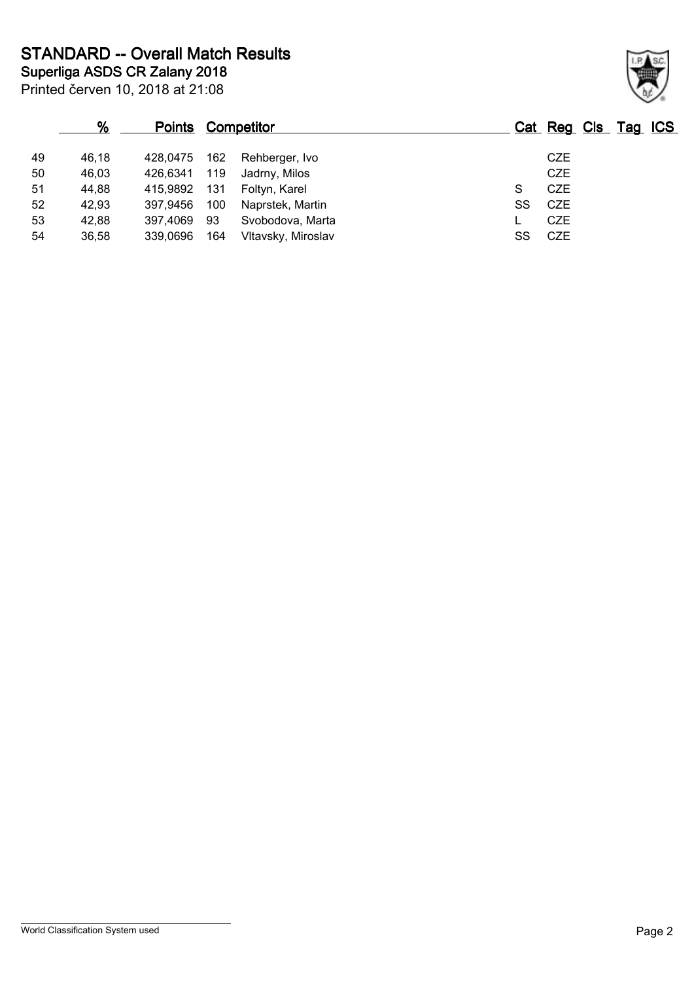**Superliga ASDS CR Zalany 2018 STANDARD -- Overall Match Results**

Printed červen 10, 2018 at 21:08

|    | $\%$  | <b>Points Competitor</b> |     |                    |    | Cat Reg Cls Tag ICS |
|----|-------|--------------------------|-----|--------------------|----|---------------------|
| 49 | 46.18 | 428.0475                 | 162 | Rehberger, Ivo     |    | <b>CZE</b>          |
| 50 | 46,03 | 426.6341                 | 119 | Jadrny, Milos      |    | <b>CZE</b>          |
| 51 | 44,88 | 415.9892                 | 131 | Foltyn, Karel      | S  | CZE                 |
| 52 | 42,93 | 397,9456                 | 100 | Naprstek, Martin   | SS | CZE                 |
| 53 | 42,88 | 397,4069                 | 93  | Svobodova, Marta   |    | <b>CZE</b>          |
| 54 | 36,58 | 339,0696                 | 164 | Vltavsky, Miroslav | SS | CZE                 |